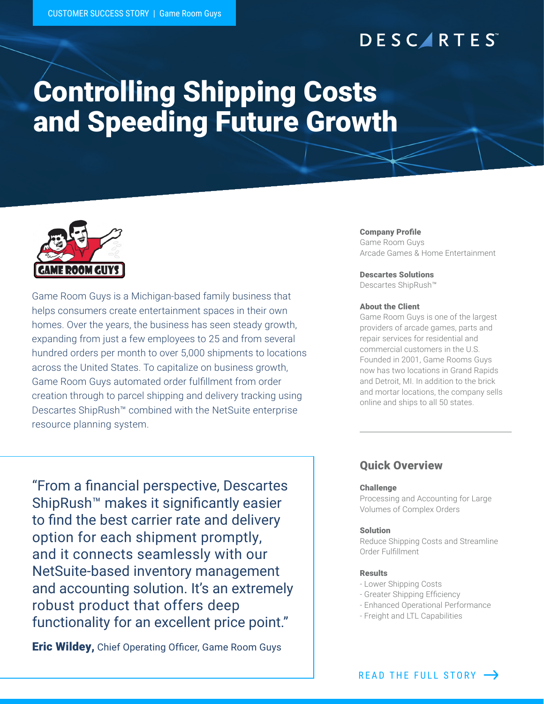# **DESCARTES**

# Controlling Shipping Costs and Speeding Future Growth



Game Room Guys is a Michigan-based family business that helps consumers create entertainment spaces in their own homes. Over the years, the business has seen steady growth, expanding from just a few employees to 25 and from several hundred orders per month to over 5,000 shipments to locations across the United States. To capitalize on business growth, Game Room Guys automated order fulfillment from order creation through to parcel shipping and delivery tracking using Descartes ShipRush™ combined with the NetSuite enterprise resource planning system.

"From a financial perspective, Descartes ShipRush™ makes it significantly easier to find the best carrier rate and delivery option for each shipment promptly, and it connects seamlessly with our NetSuite-based inventory management and accounting solution. It's an extremely robust product that offers deep functionality for an excellent price point."

**Eric Wildey,** Chief Operating Officer, Game Room Guys

### Company Profile

Game Room Guys Arcade Games & Home Entertainment

### Descartes Solutions

Descartes ShipRush™

#### About the Client

Game Room Guys is one of the largest providers of arcade games, parts and repair services for residential and commercial customers in the U.S. Founded in 2001, Game Rooms Guys now has two locations in Grand Rapids and Detroit, MI. In addition to the brick and mortar locations, the company sells online and ships to all 50 states.

### Quick Overview

#### Challenge

Processing and Accounting for Large Volumes of Complex Orders

### Solution

Reduce Shipping Costs and Streamline Order Fulfillment

#### Results

- Lower Shipping Costs
- Greater Shipping Efficiency
- Enhanced Operational Performance
- Freight and LTL Capabilities